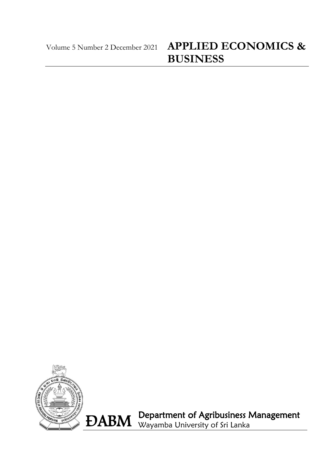# Volume 5 Number 2 December <sup>2021</sup> **APPLIED ECONOMICS & BUSINESS**



ÐABM Department of Agribusiness Management Wayamba University of Sri Lanka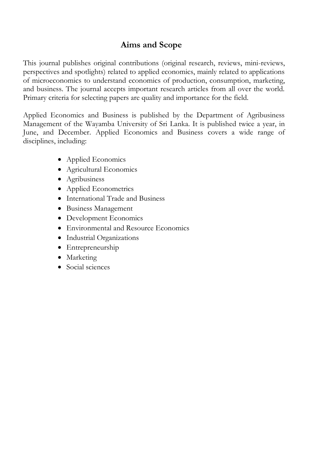## **Aims and Scope**

This journal publishes original contributions (original research, reviews, mini-reviews, perspectives and spotlights) related to applied economics, mainly related to applications of microeconomics to understand economics of production, consumption, marketing, and business. The journal accepts important research articles from all over the world. Primary criteria for selecting papers are quality and importance for the field.

Applied Economics and Business is published by the Department of Agribusiness Management of the Wayamba University of Sri Lanka. It is published twice a year, in June, and December. Applied Economics and Business covers a wide range of disciplines, including:

- Applied Economics
- Agricultural Economics
- Agribusiness
- Applied Econometrics
- International Trade and Business
- Business Management
- Development Economics
- Environmental and Resource Economics
- Industrial Organizations
- Entrepreneurship
- Marketing
- Social sciences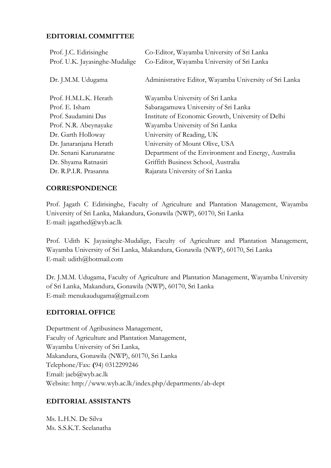#### **EDITORIAL COMMITTEE**

| Prof. J.C. Edirisinghe         | Co-Editor, Wayamba University of Sri Lanka             |
|--------------------------------|--------------------------------------------------------|
| Prof. U.K. Jayasinghe-Mudalige | Co-Editor, Wayamba University of Sri Lanka             |
|                                |                                                        |
| Dr. J.M.M. Udugama             | Administrative Editor, Wayamba University of Sri Lanka |
|                                |                                                        |
| Prof. H.M.L.K. Herath          | Wayamba University of Sri Lanka                        |
| Prof. E. Isham                 | Sabaragamuwa University of Sri Lanka                   |
| Prof. Saudamini Das            | Institute of Economic Growth, University of Delhi      |
| Prof. N.R. Abeynayake          | Wayamba University of Sri Lanka                        |
| Dr. Garth Holloway             | University of Reading, UK                              |
| Dr. Janaranjana Herath         | University of Mount Olive, USA                         |
| Dr. Senani Karunaratne         | Department of the Environment and Energy, Australia    |
| Dr. Shyama Ratnasiri           | Griffith Business School, Australia                    |
| Dr. R.P.I.R. Prasanna          | Rajarata University of Sri Lanka                       |

#### **CORRESPONDENCE**

Prof. Jagath C Edirisinghe, Faculty of Agriculture and Plantation Management, Wayamba University of Sri Lanka, Makandura, Gonawila (NWP), 60170, Sri Lanka E-mail: jagathed@wyb.ac.lk

Prof. Udith K Jayasinghe-Mudalige, Faculty of Agriculture and Plantation Management, Wayamba University of Sri Lanka, Makandura, Gonawila (NWP), 60170, Sri Lanka E-mail: [udith@hotmail.com](mailto:udith@hotmail.com)

Dr. J.M.M. Udugama, Faculty of Agriculture and Plantation Management, Wayamba University of Sri Lanka, Makandura, Gonawila (NWP), 60170, Sri Lanka E-mail: menukaudugama@gmail.com

#### **EDITORIAL OFFICE**

Department of Agribusiness Management, Faculty of Agriculture and Plantation Management, Wayamba University of Sri Lanka, Makandura, Gonawila (NWP), 60170, Sri Lanka Telephone/Fax: **(**94) 0312299246 Email: jaeb@wyb.ac.lk Website: http://www.wyb.ac.lk/index.php/departments/ab-dept

### **EDITORIAL ASSISTANTS**

Ms. L.H.N. De Silva Ms. S.S.K.T. Seelanatha